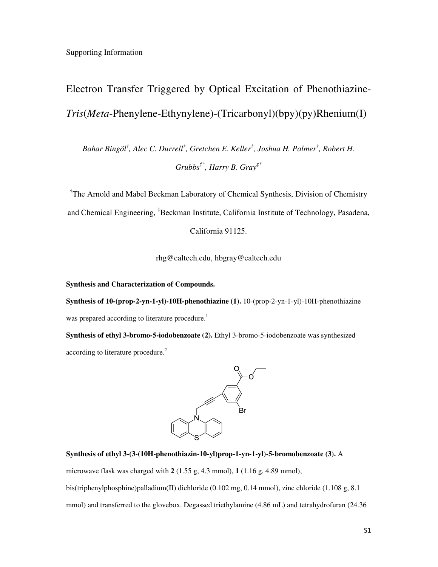Supporting Information

# Electron Transfer Triggered by Optical Excitation of Phenothiazine-*Tris*(*Meta*-Phenylene-Ethynylene)-(Tricarbonyl)(bpy)(py)Rhenium(I)

*Bahar Bingöl† , Alec C. Durrell‡ , Gretchen E. Keller‡ , Joshua H. Palmer† , Robert H. Grubbs†\*, Harry B. Gray‡\**

†The Arnold and Mabel Beckman Laboratory of Chemical Synthesis, Division of Chemistry and Chemical Engineering, <sup>‡</sup>Beckman Institute, California Institute of Technology, Pasadena,

California 91125.

rhg@caltech.edu, hbgray@caltech.edu

**Synthesis and Characterization of Compounds.** 

**Synthesis of 10-(prop-2-yn-1-yl)-10H-phenothiazine (1).** 10-(prop-2-yn-1-yl)-10H-phenothiazine was prepared according to literature procedure.<sup>1</sup>

**Synthesis of ethyl 3-bromo-5-iodobenzoate (2).** Ethyl 3-bromo-5-iodobenzoate was synthesized according to literature procedure.<sup>2</sup>



### **Synthesis of ethyl 3-(3-(10H-phenothiazin-10-yl)prop-1-yn-1-yl)-5-bromobenzoate (3).** A

microwave flask was charged with **2** (1.55 g, 4.3 mmol), **1** (1.16 g, 4.89 mmol),

bis(triphenylphosphine)palladium(II) dichloride (0.102 mg, 0.14 mmol), zinc chloride (1.108 g, 8.1 mmol) and transferred to the glovebox. Degassed triethylamine (4.86 mL) and tetrahydrofuran (24.36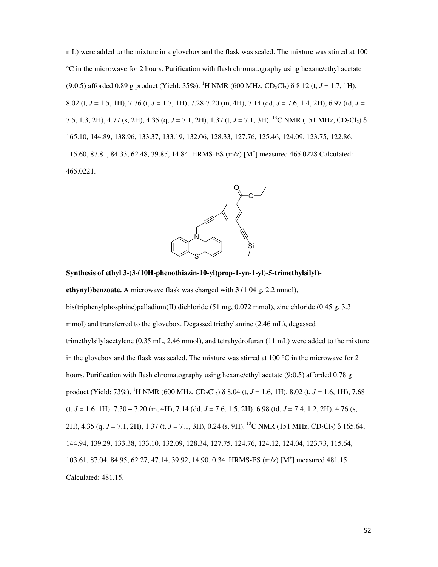mL) were added to the mixture in a glovebox and the flask was sealed. The mixture was stirred at 100 °C in the microwave for 2 hours. Purification with flash chromatography using hexane/ethyl acetate (9:0.5) afforded 0.89 g product (Yield: 35%). <sup>1</sup>H NMR (600 MHz, CD2Cl2) δ 8.12 (t, *J* = 1.7, 1H), 8.02 (t, *J* = 1.5, 1H), 7.76 (t, *J* = 1.7, 1H), 7.28-7.20 (m, 4H), 7.14 (dd, *J* = 7.6, 1.4, 2H), 6.97 (td, *J* = 7.5, 1.3, 2H), 4.77 (s, 2H), 4.35 (g, *J* = 7.1, 2H), 1.37 (t, *J* = 7.1, 3H). <sup>13</sup>C NMR (151 MHz, CD<sub>2</sub>Cl<sub>2</sub>)  $\delta$ 165.10, 144.89, 138.96, 133.37, 133.19, 132.06, 128.33, 127.76, 125.46, 124.09, 123.75, 122.86, 115.60, 87.81, 84.33, 62.48, 39.85, 14.84. HRMS-ES (m/z) [M<sup>+</sup>] measured 465.0228 Calculated: 465.0221.



# **Synthesis of ethyl 3-(3-(10H-phenothiazin-10-yl)prop-1-yn-1-yl)-5-trimethylsilyl)-**

**ethynyl)benzoate.** A microwave flask was charged with **3** (1.04 g, 2.2 mmol), bis(triphenylphosphine)palladium(II) dichloride (51 mg, 0.072 mmol), zinc chloride (0.45 g, 3.3 mmol) and transferred to the glovebox. Degassed triethylamine (2.46 mL), degassed trimethylsilylacetylene (0.35 mL, 2.46 mmol), and tetrahydrofuran (11 mL) were added to the mixture in the glovebox and the flask was sealed. The mixture was stirred at 100  $^{\circ}$ C in the microwave for 2 hours. Purification with flash chromatography using hexane/ethyl acetate (9:0.5) afforded 0.78 g product (Yield: 73%). <sup>1</sup>H NMR (600 MHz, CD2Cl2) δ 8.04 (t, *J* = 1.6, 1H), 8.02 (t, *J* = 1.6, 1H), 7.68 (t, *J* = 1.6, 1H), 7.30 – 7.20 (m, 4H), 7.14 (dd, *J* = 7.6, 1.5, 2H), 6.98 (td, *J* = 7.4, 1.2, 2H), 4.76 (s, 2H),  $4.35$  (g,  $J = 7.1$ , 2H),  $1.37$  (t,  $J = 7.1$ , 3H), 0.24 (s, 9H). <sup>13</sup>C NMR (151 MHz, CD<sub>2</sub>Cl<sub>2</sub>)  $\delta$  165.64, 144.94, 139.29, 133.38, 133.10, 132.09, 128.34, 127.75, 124.76, 124.12, 124.04, 123.73, 115.64, 103.61, 87.04, 84.95, 62.27, 47.14, 39.92, 14.90, 0.34. HRMS-ES (m/z) [M<sup>+</sup> ] measured 481.15 Calculated: 481.15.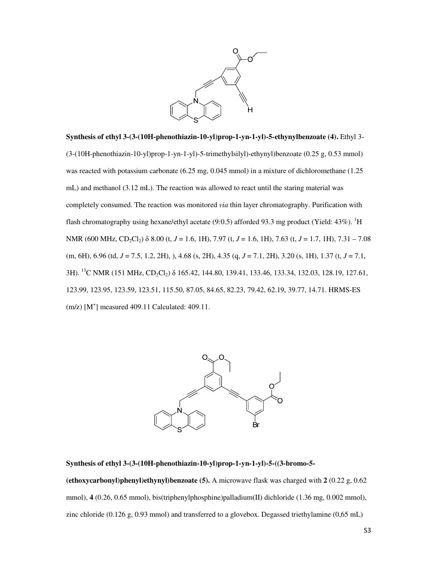

**Synthesis of ethyl 3-(3-(10H-phenothiazin-10-yl)prop-1-yn-1-yl)-5-ethynylbenzoate (4).** Ethyl 3- (3-(10H-phenothiazin-10-yl)prop-1-yn-1-yl)-5-trimethylsilyl)-ethynyl)benzoate (0.25 g, 0.53 mmol) was reacted with potassium carbonate (6.25 mg, 0.045 mmol) in a mixture of dichloromethane (1.25 mL) and methanol (3.12 mL). The reaction was allowed to react until the staring material was completely consumed. The reaction was monitored *via* thin layer chromatography. Purification with flash chromatography using hexane/ethyl acetate (9:0.5) afforded 93.3 mg product (Yield:  $43\%$ ). <sup>1</sup>H NMR (600 MHz, CD<sub>2</sub>Cl<sub>2</sub>) δ 8.00 (t, *J* = 1.6, 1H), 7.97 (t, *J* = 1.6, 1H), 7.63 (t, *J* = 1.7, 1H), 7.31 – 7.08 (m, 6H), 6.96 (td, *J* = 7.5, 1.2, 2H), ), 4.68 (s, 2H), 4.35 (q, *J* = 7.1, 2H), 3.20 (s, 1H), 1.37 (t, *J* = 7.1, 3H). <sup>13</sup>C NMR (151 MHz, CD<sub>2</sub>Cl<sub>2</sub>) δ 165.42, 144.80, 139.41, 133.46, 133.34, 132.03, 128.19, 127.61, 123.99, 123.95, 123.59, 123.51, 115.50, 87.05, 84.65, 82.23, 79.42, 62.19, 39.77, 14.71. HRMS-ES (m/z) [M<sup>+</sup>] measured 409.11 Calculated: 409.11.



#### **Synthesis of ethyl 3-(3-(10H-phenothiazin-10-yl)prop-1-yn-1-yl)-5-((3-bromo-5-**

**(ethoxycarbonyl)phenyl)ethynyl)benzoate (5).** A microwave flask was charged with **2** (0.22 g, 0.62 mmol), **4** (0.26, 0.65 mmol), bis(triphenylphosphine)palladium(II) dichloride (1.36 mg, 0.002 mmol), zinc chloride (0.126 g, 0.93 mmol) and transferred to a glovebox. Degassed triethylamine (0,65 mL)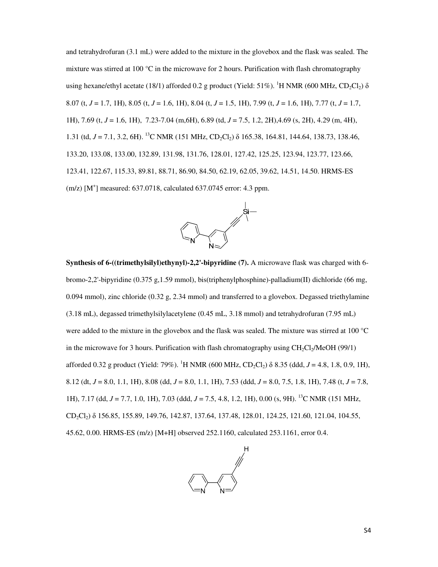and tetrahydrofuran (3.1 mL) were added to the mixture in the glovebox and the flask was sealed. The mixture was stirred at 100 °C in the microwave for 2 hours. Purification with flash chromatography using hexane/ethyl acetate (18/1) afforded 0.2 g product (Yield: 51%). <sup>1</sup>H NMR (600 MHz, CD<sub>2</sub>Cl<sub>2</sub>)  $\delta$ 8.07 (t, *J* = 1.7, 1H), 8.05 (t, *J* = 1.6, 1H), 8.04 (t, *J* = 1.5, 1H), 7.99 (t, *J* = 1.6, 1H), 7.77 (t, *J* = 1.7, 1H), 7.69 (t, *J* = 1.6, 1H), 7.23-7.04 (m,6H), 6.89 (td, *J* = 7.5, 1.2, 2H),4.69 (s, 2H), 4.29 (m, 4H), 1.31 (td,  $J = 7.1$ , 3.2, 6H). <sup>13</sup>C NMR (151 MHz, CD<sub>2</sub>Cl<sub>2</sub>)  $\delta$  165.38, 164.81, 144.64, 138.73, 138.46, 133.20, 133.08, 133.00, 132.89, 131.98, 131.76, 128.01, 127.42, 125.25, 123.94, 123.77, 123.66, 123.41, 122.67, 115.33, 89.81, 88.71, 86.90, 84.50, 62.19, 62.05, 39.62, 14.51, 14.50. HRMS-ES (m/z) [M<sup>+</sup> ] measured: 637.0718, calculated 637.0745 error: 4.3 ppm.



**Synthesis of 6-((trimethylsilyl)ethynyl)-2,2'-bipyridine (7).** A microwave flask was charged with 6 bromo-2,2'-bipyridine (0.375 g,1.59 mmol), bis(triphenylphosphine)-palladium(II) dichloride (66 mg, 0.094 mmol), zinc chloride (0.32 g, 2.34 mmol) and transferred to a glovebox. Degassed triethylamine (3.18 mL), degassed trimethylsilylacetylene (0.45 mL, 3.18 mmol) and tetrahydrofuran (7.95 mL) were added to the mixture in the glovebox and the flask was sealed. The mixture was stirred at 100 °C in the microwave for 3 hours. Purification with flash chromatography using  $CH_2Cl_2/MeOH$  (99/1) afforded 0.32 g product (Yield: 79%). <sup>1</sup>H NMR (600 MHz, CD<sub>2</sub>Cl<sub>2</sub>)  $\delta$  8.35 (ddd, *J* = 4.8, 1.8, 0.9, 1H), 8.12 (dt, *J* = 8.0, 1.1, 1H), 8.08 (dd, *J* = 8.0, 1.1, 1H), 7.53 (ddd, *J* = 8.0, 7.5, 1.8, 1H), 7.48 (t, *J* = 7.8, 1H), 7.17 (dd, *J* = 7.7, 1.0, 1H), 7.03 (ddd, *J* = 7.5, 4.8, 1.2, 1H), 0.00 (s, 9H). <sup>13</sup>C NMR (151 MHz, CD2Cl2) δ 156.85, 155.89, 149.76, 142.87, 137.64, 137.48, 128.01, 124.25, 121.60, 121.04, 104.55, 45.62, 0.00. HRMS-ES (m/z) [M+H] observed 252.1160, calculated 253.1161, error 0.4.

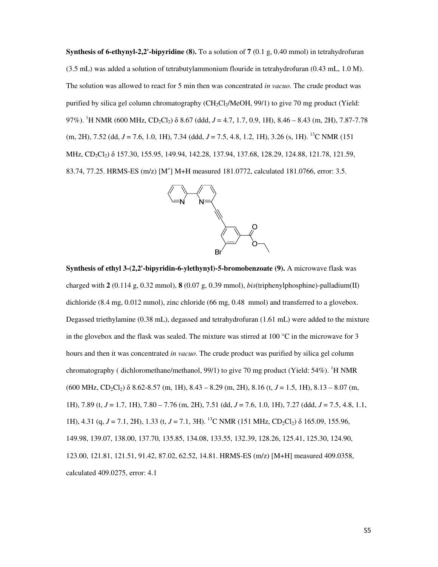**Synthesis of 6-ethynyl-2,2'-bipyridine (8).** To a solution of 7 (0.1 g, 0.40 mmol) in tetrahydrofuran (3.5 mL) was added a solution of tetrabutylammonium flouride in tetrahydrofuran (0.43 mL, 1.0 M). The solution was allowed to react for 5 min then was concentrated *in vacuo*. The crude product was purified by silica gel column chromatography (CH<sub>2</sub>Cl<sub>2</sub>/MeOH, 99/1) to give 70 mg product (Yield: 97%). <sup>1</sup>H NMR (600 MHz, CD2Cl2) δ 8.67 (ddd, *J* = 4.7, 1.7, 0.9, 1H), 8.46 – 8.43 (m, 2H), 7.87-7.78 (m, 2H), 7.52 (dd, *J* = 7.6, 1.0, 1H), 7.34 (ddd, *J* = 7.5, 4.8, 1.2, 1H), 3.26 (s, 1H). <sup>13</sup>C NMR (151 MHz, CD<sub>2</sub>Cl<sub>2</sub>) δ 157.30, 155.95, 149.94, 142.28, 137.94, 137.68, 128.29, 124.88, 121.78, 121.59, 83.74, 77.25. HRMS-ES (m/z) [M<sup>+</sup>] M+H measured 181.0772, calculated 181.0766, error: 3.5.



**Synthesis of ethyl 3-(2,2'-bipyridin-6-ylethynyl)-5-bromobenzoate (9).** A microwave flask was charged with **2** (0.114 g, 0.32 mmol), **8** (0.07 g, 0.39 mmol), *bis*(triphenylphosphine)-palladium(II) dichloride (8.4 mg, 0.012 mmol), zinc chloride (66 mg, 0.48 mmol) and transferred to a glovebox. Degassed triethylamine (0.38 mL), degassed and tetrahydrofuran (1.61 mL) were added to the mixture in the glovebox and the flask was sealed. The mixture was stirred at 100  $^{\circ}$ C in the microwave for 3 hours and then it was concentrated *in vacuo*. The crude product was purified by silica gel column chromatography ( dichloromethane/methanol, 99/1) to give 70 mg product (Yield:  $54\%$ ). <sup>1</sup>H NMR  $(600 \text{ MHz}, \text{CD}_2\text{Cl}_2)$  δ 8.62-8.57 (m, 1H), 8.43 – 8.29 (m, 2H), 8.16 (t,  $J = 1.5$ , 1H), 8.13 – 8.07 (m, 1H), 7.89 (t, *J* = 1.7, 1H), 7.80 – 7.76 (m, 2H), 7.51 (dd, *J* = 7.6, 1.0, 1H), 7.27 (ddd, *J* = 7.5, 4.8, 1.1, 1H), 4.31 (q, *J* = 7.1, 2H), 1.33 (t, *J* = 7.1, 3H). <sup>13</sup>C NMR (151 MHz, CD<sub>2</sub>Cl<sub>2</sub>)  $\delta$  165.09, 155.96, 149.98, 139.07, 138.00, 137.70, 135.85, 134.08, 133.55, 132.39, 128.26, 125.41, 125.30, 124.90, 123.00, 121.81, 121.51, 91.42, 87.02, 62.52, 14.81. HRMS-ES (m/z) [M+H] measured 409.0358, calculated 409.0275, error: 4.1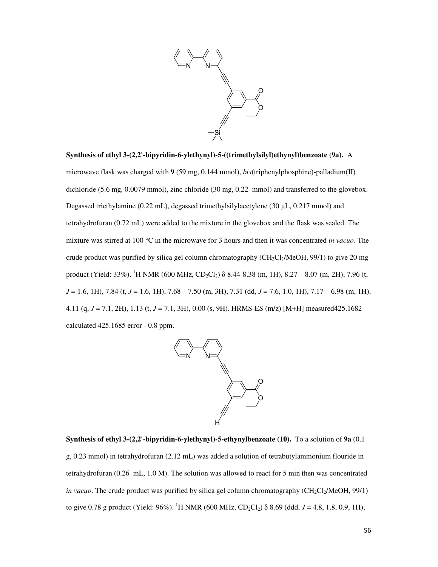

**Synthesis of ethyl 3-(2,2'-bipyridin-6-ylethynyl)-5-((trimethylsilyl)ethynyl)benzoate (9a).** A microwave flask was charged with **9** (59 mg, 0.144 mmol), *bis*(triphenylphosphine)-palladium(II) dichloride (5.6 mg, 0.0079 mmol), zinc chloride (30 mg, 0.22 mmol) and transferred to the glovebox. Degassed triethylamine (0.22 mL), degassed trimethylsilylacetylene (30 µL, 0.217 mmol) and tetrahydrofuran (0.72 mL) were added to the mixture in the glovebox and the flask was sealed. The mixture was stirred at 100 °C in the microwave for 3 hours and then it was concentrated *in vacuo*. The crude product was purified by silica gel column chromatography  $CH_2Cl_2/MeOH$ , 99/1) to give 20 mg product (Yield: 33%). <sup>1</sup>H NMR (600 MHz, CD<sub>2</sub>Cl<sub>2</sub>)  $\delta$  8.44-8.38 (m, 1H), 8.27 – 8.07 (m, 2H), 7.96 (t, *J* = 1.6, 1H), 7.84 (t, *J* = 1.6, 1H), 7.68 – 7.50 (m, 3H), 7.31 (dd, *J* = 7.6, 1.0, 1H), 7.17 – 6.98 (m, 1H), 4.11 (q, *J* = 7.1, 2H), 1.13 (t, *J* = 7.1, 3H), 0.00 (s, 9H). HRMS-ES (m/z) [M+H] measured425.1682 calculated 425.1685 error - 0.8 ppm.



**Synthesis of ethyl 3-(2,2'-bipyridin-6-ylethynyl)-5-ethynylbenzoate (10).** To a solution of **9a** (0.1 g, 0.23 mmol) in tetrahydrofuran (2.12 mL) was added a solution of tetrabutylammonium flouride in tetrahydrofuran (0.26 mL, 1.0 M). The solution was allowed to react for 5 min then was concentrated *in vacuo*. The crude product was purified by silica gel column chromatography (CH<sub>2</sub>Cl<sub>2</sub>/MeOH, 99/1) to give 0.78 g product (Yield: 96%). <sup>1</sup>H NMR (600 MHz, CD<sub>2</sub>Cl<sub>2</sub>)  $\delta$  8.69 (ddd, *J* = 4.8, 1.8, 0.9, 1H),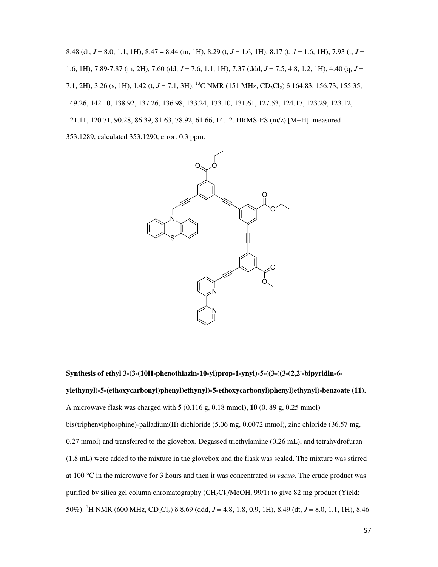8.48 (dt, *J* = 8.0, 1.1, 1H), 8.47 – 8.44 (m, 1H), 8.29 (t, *J* = 1.6, 1H), 8.17 (t, *J* = 1.6, 1H), 7.93 (t, *J* = 1.6, 1H), 7.89-7.87 (m, 2H), 7.60 (dd, *J* = 7.6, 1.1, 1H), 7.37 (ddd, *J* = 7.5, 4.8, 1.2, 1H), 4.40 (q, *J* = 7.1, 2H), 3.26 (s, 1H), 1.42 (t,  $J = 7.1$ , 3H). <sup>13</sup>C NMR (151 MHz, CD<sub>2</sub>Cl<sub>2</sub>)  $\delta$  164.83, 156.73, 155.35, 149.26, 142.10, 138.92, 137.26, 136.98, 133.24, 133.10, 131.61, 127.53, 124.17, 123.29, 123.12, 121.11, 120.71, 90.28, 86.39, 81.63, 78.92, 61.66, 14.12. HRMS-ES (m/z) [M+H] measured 353.1289, calculated 353.1290, error: 0.3 ppm.



**Synthesis of ethyl 3-(3-(10H-phenothiazin-10-yl)prop-1-ynyl)-5-((3-((3-(2,2'-bipyridin-6 ylethynyl)-5-(ethoxycarbonyl)phenyl)ethynyl)-5-ethoxycarbonyl)phenyl)ethynyl)-benzoate (11).**  A microwave flask was charged with **5** (0.116 g, 0.18 mmol), **10** (0. 89 g, 0.25 mmol) bis(triphenylphosphine)-palladium(II) dichloride (5.06 mg, 0.0072 mmol), zinc chloride (36.57 mg, 0.27 mmol) and transferred to the glovebox. Degassed triethylamine (0.26 mL), and tetrahydrofuran (1.8 mL) were added to the mixture in the glovebox and the flask was sealed. The mixture was stirred at 100 °C in the microwave for 3 hours and then it was concentrated *in vacuo*. The crude product was purified by silica gel column chromatography (CH<sub>2</sub>Cl<sub>2</sub>/MeOH, 99/1) to give 82 mg product (Yield: 50%). <sup>1</sup>H NMR (600 MHz, CD2Cl2) δ 8.69 (ddd, *J* = 4.8, 1.8, 0.9, 1H), 8.49 (dt, *J* = 8.0, 1.1, 1H), 8.46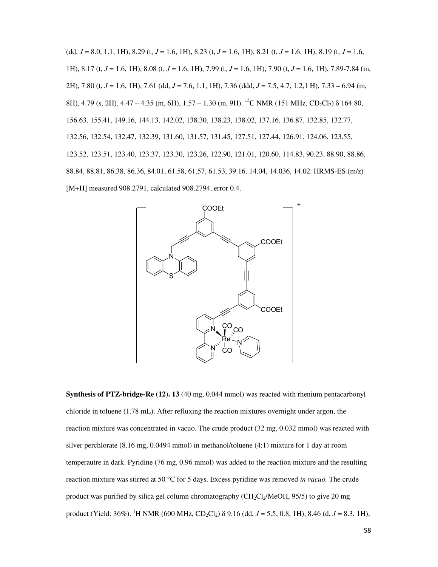(dd, *J* = 8.0, 1.1, 1H), 8.29 (t, *J* = 1.6, 1H), 8.23 (t, *J* = 1.6, 1H), 8.21 (t, *J* = 1.6, 1H), 8.19 (t, *J* = 1.6, 1H), 8.17 (t, *J* = 1.6, 1H), 8.08 (t, *J* = 1.6, 1H), 7.99 (t, *J* = 1.6, 1H), 7.90 (t, *J* = 1.6, 1H), 7.89-7.84 (m, 2H), 7.80 (t, *J* = 1.6, 1H), 7.61 (dd, *J* = 7.6, 1.1, 1H), 7.36 (ddd, *J* = 7.5, 4.7, 1.2,1 H), 7.33 – 6.94 (m, 8H), 4.79 (s, 2H), 4.47 – 4.35 (m, 6H), 1.57 – 1.30 (m, 9H). <sup>13</sup>C NMR (151 MHz, CD<sub>2</sub>Cl<sub>2</sub>)  $\delta$  164.80, 156.63, 155.41, 149.16, 144.13, 142.02, 138.30, 138.23, 138.02, 137.16, 136.87, 132.85, 132.77, 132.56, 132.54, 132.47, 132.39, 131.60, 131.57, 131.45, 127.51, 127.44, 126.91, 124.06, 123.55, 123.52, 123.51, 123.40, 123.37, 123.30, 123.26, 122.90, 121.01, 120.60, 114.83, 90.23, 88.90, 88.86, 88.84, 88.81, 86.38, 86.36, 84.01, 61.58, 61.57, 61.53, 39.16, 14.04, 14.036, 14.02. HRMS-ES (m/z) [M+H] measured 908.2791, calculated 908.2794, error 0.4.



**Synthesis of PTZ-bridge-Re (12). 13** (40 mg, 0.044 mmol) was reacted with rhenium pentacarbonyl chloride in toluene (1.78 mL). After refluxing the reaction mixtures overnight under argon, the reaction mixture was concentrated in vacuo. The crude product (32 mg, 0.032 mmol) was reacted with silver perchlorate (8.16 mg, 0.0494 mmol) in methanol/toluene (4:1) mixture for 1 day at room temperautre in dark. Pyridine (76 mg, 0.96 mmol) was added to the reaction mixture and the resulting reaction mixture was stirred at 50 °C for 5 days. Excess pyridine was removed *in vacuo.* The crude product was purified by silica gel column chromatography (CH<sub>2</sub>Cl<sub>2</sub>/MeOH, 95/5) to give 20 mg product (Yield: 36%). <sup>1</sup>H NMR (600 MHz, CD2Cl2) δ 9.16 (dd, *J* = 5.5, 0.8, 1H), 8.46 (d, *J* = 8.3, 1H),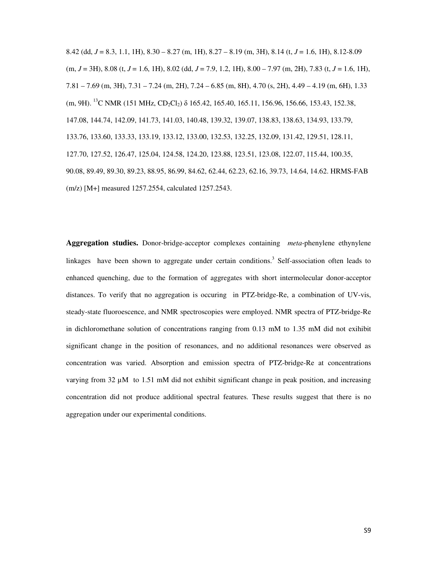8.42 (dd, *J* = 8.3, 1.1, 1H), 8.30 – 8.27 (m, 1H), 8.27 – 8.19 (m, 3H), 8.14 (t, *J* = 1.6, 1H), 8.12-8.09 (m, *J* = 3H), 8.08 (t, *J* = 1.6, 1H), 8.02 (dd, *J* = 7.9, 1.2, 1H), 8.00 – 7.97 (m, 2H), 7.83 (t, *J* = 1.6, 1H), 7.81 – 7.69 (m, 3H), 7.31 – 7.24 (m, 2H), 7.24 – 6.85 (m, 8H), 4.70 (s, 2H), 4.49 – 4.19 (m, 6H), 1.33  $(m, 9H)$ . <sup>13</sup>C NMR (151 MHz, CD<sub>2</sub>Cl<sub>2</sub>)  $\delta$  165.42, 165.40, 165.11, 156.96, 156.66, 153.43, 152.38, 147.08, 144.74, 142.09, 141.73, 141.03, 140.48, 139.32, 139.07, 138.83, 138.63, 134.93, 133.79, 133.76, 133.60, 133.33, 133.19, 133.12, 133.00, 132.53, 132.25, 132.09, 131.42, 129.51, 128.11, 127.70, 127.52, 126.47, 125.04, 124.58, 124.20, 123.88, 123.51, 123.08, 122.07, 115.44, 100.35, 90.08, 89.49, 89.30, 89.23, 88.95, 86.99, 84.62, 62.44, 62.23, 62.16, 39.73, 14.64, 14.62. HRMS-FAB (m/z) [M+] measured 1257.2554, calculated 1257.2543.

**Aggregation studies.** Donor-bridge-acceptor complexes containing *meta*-phenylene ethynylene linkages have been shown to aggregate under certain conditions.<sup>3</sup> Self-association often leads to enhanced quenching, due to the formation of aggregates with short intermolecular donor-acceptor distances. To verify that no aggregation is occuring in PTZ-bridge-Re, a combination of UV-vis, steady-state fluoroescence, and NMR spectroscopies were employed. NMR spectra of PTZ-bridge-Re in dichloromethane solution of concentrations ranging from 0.13 mM to 1.35 mM did not exihibit significant change in the position of resonances, and no additional resonances were observed as concentration was varied. Absorption and emission spectra of PTZ-bridge-Re at concentrations varying from 32 µM to 1.51 mM did not exhibit significant change in peak position, and increasing concentration did not produce additional spectral features. These results suggest that there is no aggregation under our experimental conditions.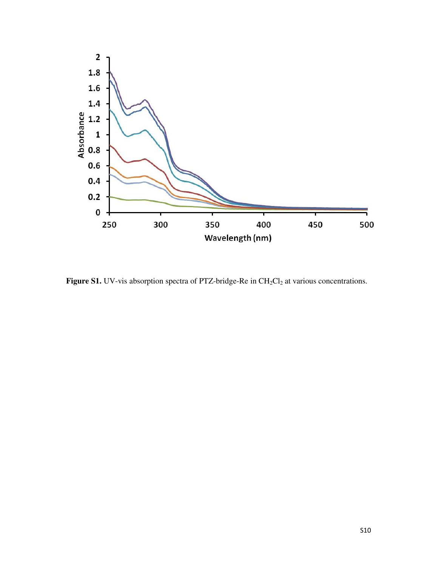

Figure S1. UV-vis absorption spectra of PTZ-bridge-Re in CH<sub>2</sub>Cl<sub>2</sub> at various concentrations.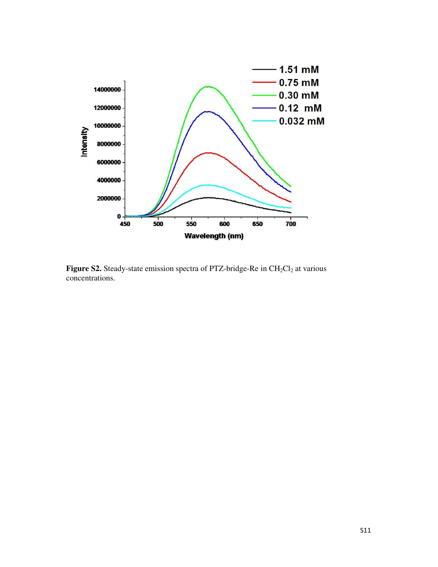

Figure S2. Steady-state emission spectra of PTZ-bridge-Re in CH<sub>2</sub>Cl<sub>2</sub> at various concentrations.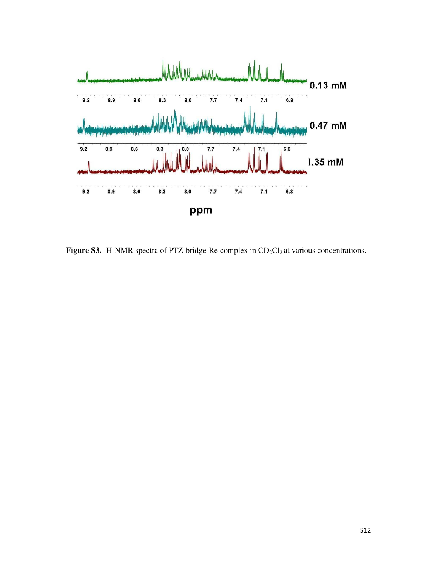

**Figure S3.** <sup>1</sup>H-NMR spectra of PTZ-bridge-Re complex in CD<sub>2</sub>Cl<sub>2</sub> at various concentrations.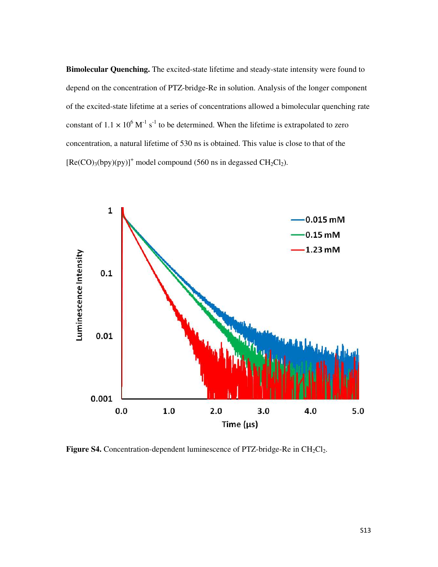**Bimolecular Quenching.** The excited-state lifetime and steady-state intensity were found to depend on the concentration of PTZ-bridge-Re in solution. Analysis of the longer component of the excited-state lifetime at a series of concentrations allowed a bimolecular quenching rate constant of  $1.1 \times 10^6$  M<sup>-1</sup> s<sup>-1</sup> to be determined. When the lifetime is extrapolated to zero concentration, a natural lifetime of 530 ns is obtained. This value is close to that of the  $[Re(CO)_3(bpy)(py)]^+$  model compound (560 ns in degassed  $CH_2Cl_2$ ).



**Figure S4.** Concentration-dependent luminescence of PTZ-bridge-Re in  $CH_2Cl_2$ .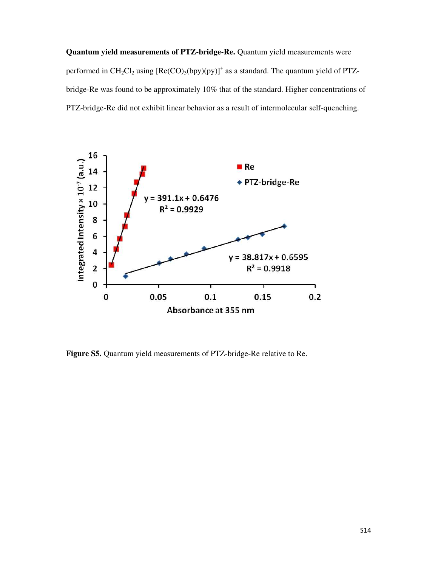**Quantum yield measurements of PTZ-bridge-Re.** Quantum yield measurements were performed in  $CH_2Cl_2$  using  $[Re(CO)_3(bpy)(py)]^+$  as a standard. The quantum yield of PTZbridge-Re was found to be approximately 10% that of the standard. Higher concentrations of PTZ-bridge-Re did not exhibit linear behavior as a result of intermolecular self-quenching.



**Figure S5.** Quantum yield measurements of PTZ-bridge-Re relative to Re.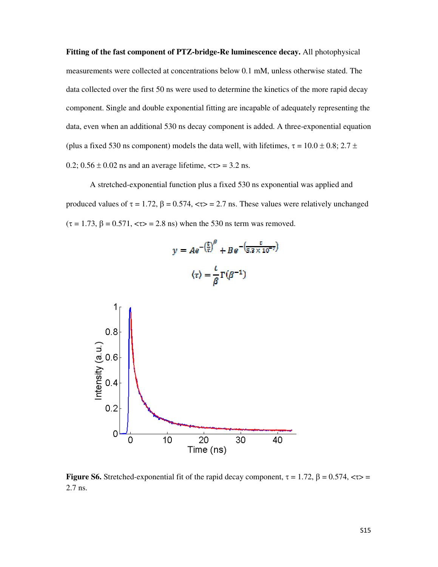**Fitting of the fast component of PTZ-bridge-Re luminescence decay.** All photophysical measurements were collected at concentrations below 0.1 mM, unless otherwise stated. The data collected over the first 50 ns were used to determine the kinetics of the more rapid decay component. Single and double exponential fitting are incapable of adequately representing the data, even when an additional 530 ns decay component is added. A three-exponential equation (plus a fixed 530 ns component) models the data well, with lifetimes,  $\tau = 10.0 \pm 0.8$ ; 2.7  $\pm$ 0.2;  $0.56 \pm 0.02$  ns and an average lifetime,  $\langle \tau \rangle = 3.2$  ns.

 A stretched-exponential function plus a fixed 530 ns exponential was applied and produced values of  $\tau = 1.72$ ,  $\beta = 0.574$ ,  $\langle \tau \rangle = 2.7$  ns. These values were relatively unchanged  $(\tau = 1.73, \beta = 0.571, \langle \tau \rangle = 2.8 \text{ ns})$  when the 530 ns term was removed.

$$
y = Ae^{-\left(\frac{t}{\tau}\right)^{\beta}} + Be^{-\left(\frac{t}{5.3 \times 10^{-7}}\right)}
$$

$$
\langle \tau \rangle = \frac{t}{\beta} \Gamma(\beta^{-1})
$$



**Figure S6.** Stretched-exponential fit of the rapid decay component,  $\tau = 1.72$ ,  $\beta = 0.574$ ,  $\langle \tau \rangle =$ 2.7 ns.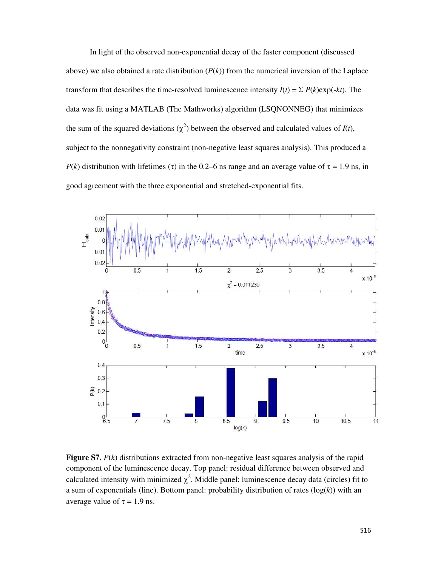In light of the observed non-exponential decay of the faster component (discussed above) we also obtained a rate distribution  $(P(k))$  from the numerical inversion of the Laplace transform that describes the time-resolved luminescence intensity  $I(t) = \sum P(k) \exp(-kt)$ . The data was fit using a MATLAB (The Mathworks) algorithm (LSQNONNEG) that minimizes the sum of the squared deviations  $(\chi^2)$  between the observed and calculated values of  $I(t)$ , subject to the nonnegativity constraint (non-negative least squares analysis). This produced a *P*(*k*) distribution with lifetimes (τ) in the 0.2–6 ns range and an average value of  $\tau = 1.9$  ns, in good agreement with the three exponential and stretched-exponential fits.



**Figure S7.** *P*(*k*) distributions extracted from non-negative least squares analysis of the rapid component of the luminescence decay. Top panel: residual difference between observed and calculated intensity with minimized  $\chi^2$ . Middle panel: luminescence decay data (circles) fit to a sum of exponentials (line). Bottom panel: probability distribution of rates (log(*k*)) with an average value of  $\tau = 1.9$  ns.